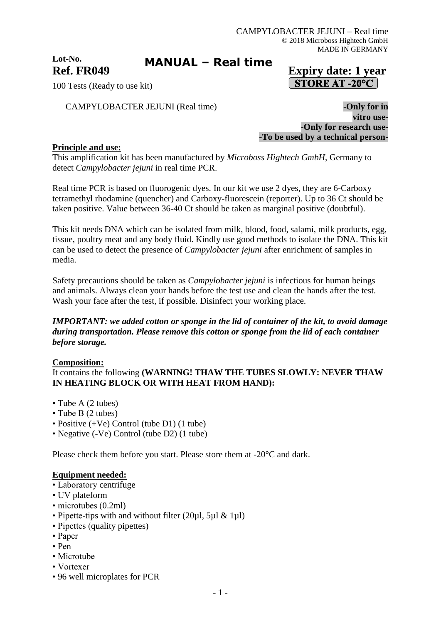**Lot-No.**

# **MANUAL – Real time**

# **Ref. FR049 Expiry date: 1 year STORE AT -20°C**

100 Tests (Ready to use kit)

CAMPYLOBACTER JEJUNI (Real time) -**Only for in** 

**vitro use-** -**Only for research use-** -**To be used by a technical person-**

### **Principle and use:**

This amplification kit has been manufactured by *Microboss Hightech GmbH*, Germany to detect *Campylobacter jejuni* in real time PCR.

Real time PCR is based on fluorogenic dyes. In our kit we use 2 dyes, they are 6-Carboxy tetramethyl rhodamine (quencher) and Carboxy-fluorescein (reporter). Up to 36 Ct should be taken positive. Value between 36-40 Ct should be taken as marginal positive (doubtful).

This kit needs DNA which can be isolated from milk, blood, food, salami, milk products, egg, tissue, poultry meat and any body fluid. Kindly use good methods to isolate the DNA. This kit can be used to detect the presence of *Campylobacter jejuni* after enrichment of samples in media.

Safety precautions should be taken as *Campylobacter jejuni* is infectious for human beings and animals. Always clean your hands before the test use and clean the hands after the test. Wash your face after the test, if possible. Disinfect your working place.

### *IMPORTANT: we added cotton or sponge in the lid of container of the kit, to avoid damage during transportation. Please remove this cotton or sponge from the lid of each container before storage.*

### **Composition:**

It contains the following **(WARNING! THAW THE TUBES SLOWLY: NEVER THAW IN HEATING BLOCK OR WITH HEAT FROM HAND):**

- Tube A (2 tubes)
- Tube B (2 tubes)
- Positive (+Ve) Control (tube D1) (1 tube)
- Negative (-Ve) Control (tube D2) (1 tube)

Please check them before you start. Please store them at -20°C and dark.

#### **Equipment needed:**

- Laboratory centrifuge
- UV plateform
- microtubes (0.2ml)
- Pipette-tips with and without filter (20ul, 5ul & 1ul)
- Pipettes (quality pipettes)
- Paper
- Pen
- Microtube
- Vortexer
- 96 well microplates for PCR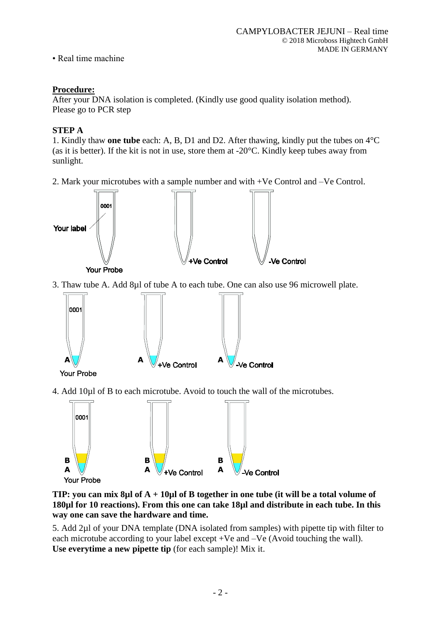• Real time machine

### **Procedure:**

After your DNA isolation is completed. (Kindly use good quality isolation method). Please go to PCR step

## **STEP A**

1. Kindly thaw **one tube** each: A, B, D1 and D2. After thawing, kindly put the tubes on 4°C (as it is better). If the kit is not in use, store them at  $-20^{\circ}$ C. Kindly keep tubes away from sunlight.

2. Mark your microtubes with a sample number and with +Ve Control and –Ve Control.



3. Thaw tube A. Add 8µl of tube A to each tube. One can also use 96 microwell plate.



4. Add 10µl of B to each microtube. Avoid to touch the wall of the microtubes.



### **TIP: you can mix 8µl of A + 10µl of B together in one tube (it will be a total volume of 180µl for 10 reactions). From this one can take 18µl and distribute in each tube. In this way one can save the hardware and time.**

5. Add 2µl of your DNA template (DNA isolated from samples) with pipette tip with filter to each microtube according to your label except +Ve and –Ve (Avoid touching the wall). **Use everytime a new pipette tip** (for each sample)! Mix it.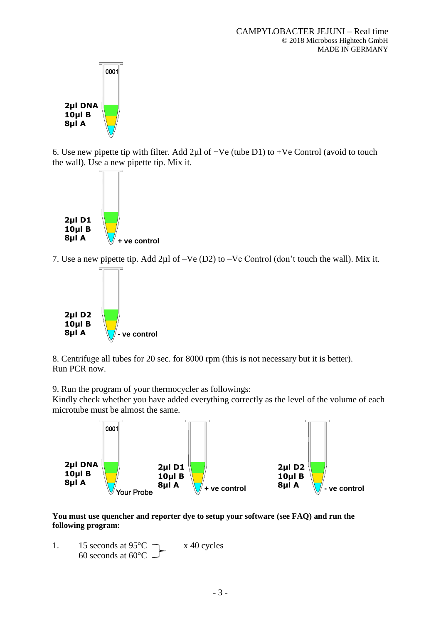

6. Use new pipette tip with filter. Add  $2\mu$ l of +Ve (tube D1) to +Ve Control (avoid to touch the wall). Use a new pipette tip. Mix it.



7. Use a new pipette tip. Add 2µl of –Ve (D2) to –Ve Control (don't touch the wall). Mix it.



8. Centrifuge all tubes for 20 sec. for 8000 rpm (this is not necessary but it is better). Run PCR now.

9. Run the program of your thermocycler as followings:

Kindly check whether you have added everything correctly as the level of the volume of each microtube must be almost the same.



**You must use quencher and reporter dye to setup your software (see FAQ) and run the following program:**

1. 15 seconds at  $95^{\circ}$ C  $\rightarrow x$  40 cycles 60 seconds at 60°C